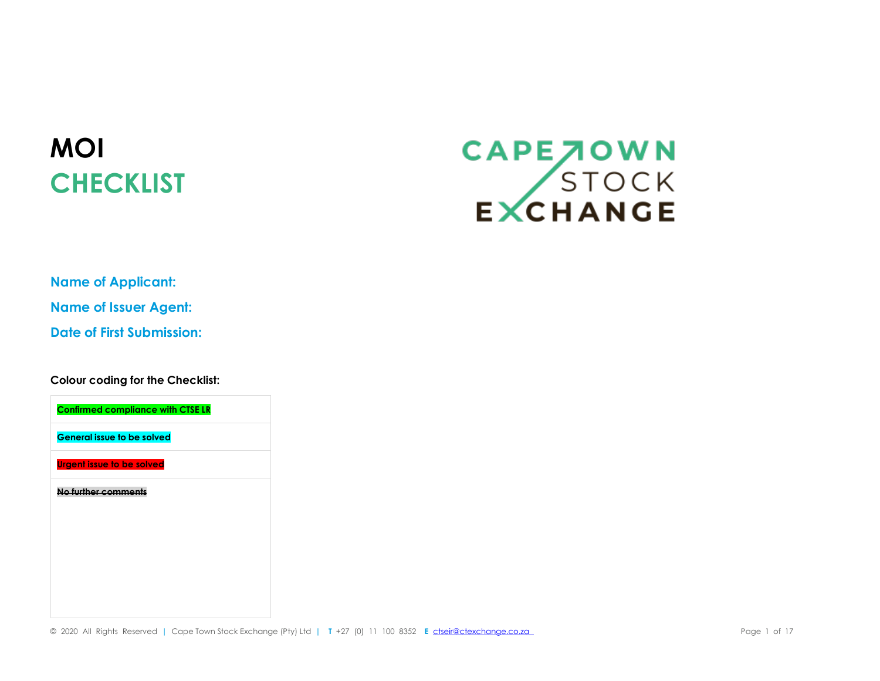## **MOI CHECKLIST**

## CAPE JOWN<br>STOCK<br>EXCHANGE

**Name of Applicant: Name of Issuer Agent: Date of First Submission:**

**Colour coding for the Checklist:**

**Confirmed compliance with CTSE LR General issue to be solved Urgent issue to be solved No further comments**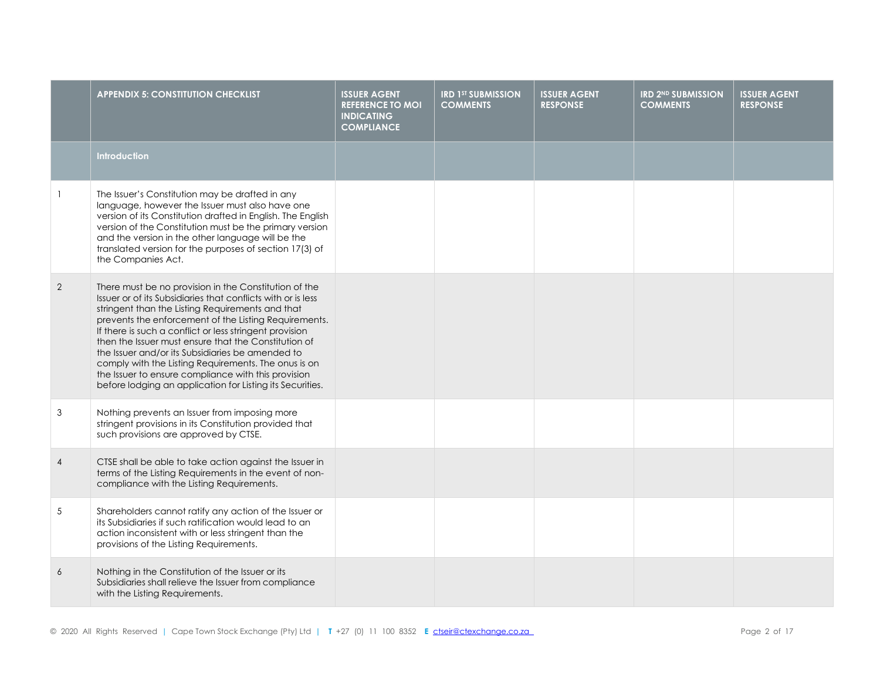|                | <b>APPENDIX 5: CONSTITUTION CHECKLIST</b>                                                                                                                                                                                                                                                                                                                                                                                                                                                                                                                                             | <b>ISSUER AGENT</b><br><b>REFERENCE TO MOI</b><br><b>INDICATING</b><br><b>COMPLIANCE</b> | <b>IRD 1ST SUBMISSION</b><br><b>COMMENTS</b> | <b>ISSUER AGENT</b><br><b>RESPONSE</b> | <b>IRD 2ND SUBMISSION</b><br><b>COMMENTS</b> | <b>ISSUER AGENT</b><br><b>RESPONSE</b> |
|----------------|---------------------------------------------------------------------------------------------------------------------------------------------------------------------------------------------------------------------------------------------------------------------------------------------------------------------------------------------------------------------------------------------------------------------------------------------------------------------------------------------------------------------------------------------------------------------------------------|------------------------------------------------------------------------------------------|----------------------------------------------|----------------------------------------|----------------------------------------------|----------------------------------------|
|                | <b>Introduction</b>                                                                                                                                                                                                                                                                                                                                                                                                                                                                                                                                                                   |                                                                                          |                                              |                                        |                                              |                                        |
|                | The Issuer's Constitution may be drafted in any<br>language, however the Issuer must also have one<br>version of its Constitution drafted in English. The English<br>version of the Constitution must be the primary version<br>and the version in the other language will be the<br>translated version for the purposes of section 17(3) of<br>the Companies Act.                                                                                                                                                                                                                    |                                                                                          |                                              |                                        |                                              |                                        |
| 2              | There must be no provision in the Constitution of the<br>Issuer or of its Subsidiaries that conflicts with or is less<br>stringent than the Listing Requirements and that<br>prevents the enforcement of the Listing Requirements.<br>If there is such a conflict or less stringent provision<br>then the Issuer must ensure that the Constitution of<br>the Issuer and/or its Subsidiaries be amended to<br>comply with the Listing Requirements. The onus is on<br>the Issuer to ensure compliance with this provision<br>before lodging an application for Listing its Securities. |                                                                                          |                                              |                                        |                                              |                                        |
| 3              | Nothing prevents an Issuer from imposing more<br>stringent provisions in its Constitution provided that<br>such provisions are approved by CTSE.                                                                                                                                                                                                                                                                                                                                                                                                                                      |                                                                                          |                                              |                                        |                                              |                                        |
| $\overline{4}$ | CTSE shall be able to take action against the Issuer in<br>terms of the Listing Requirements in the event of non-<br>compliance with the Listing Requirements.                                                                                                                                                                                                                                                                                                                                                                                                                        |                                                                                          |                                              |                                        |                                              |                                        |
| 5              | Shareholders cannot ratify any action of the Issuer or<br>its Subsidiaries if such ratification would lead to an<br>action inconsistent with or less stringent than the<br>provisions of the Listing Requirements.                                                                                                                                                                                                                                                                                                                                                                    |                                                                                          |                                              |                                        |                                              |                                        |
| 6              | Nothing in the Constitution of the Issuer or its<br>Subsidiaries shall relieve the Issuer from compliance<br>with the Listing Requirements.                                                                                                                                                                                                                                                                                                                                                                                                                                           |                                                                                          |                                              |                                        |                                              |                                        |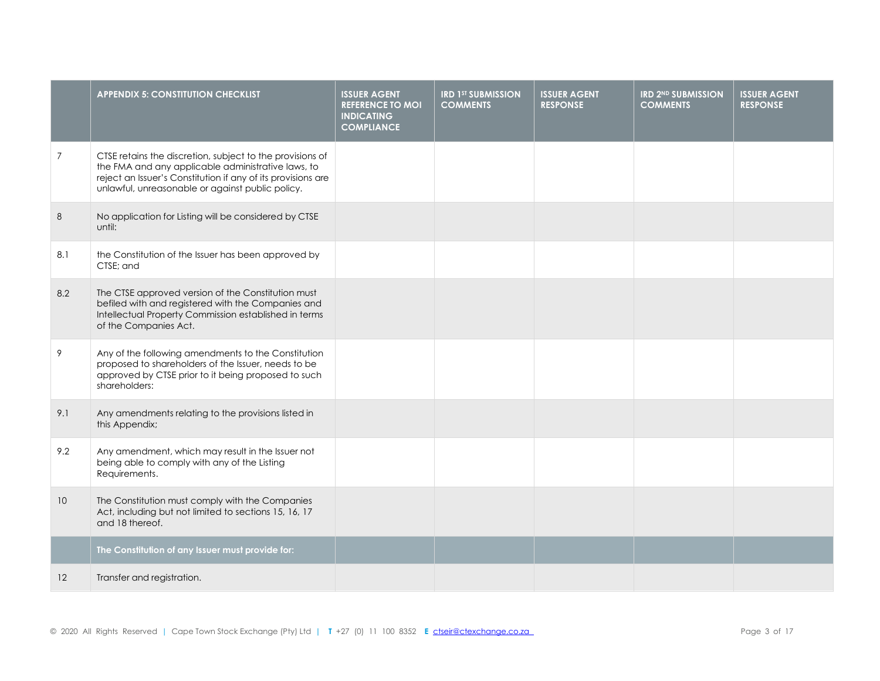|                 | <b>APPENDIX 5: CONSTITUTION CHECKLIST</b>                                                                                                                                                                                           | <b>ISSUER AGENT</b><br><b>REFERENCE TO MOI</b><br><b>INDICATING</b><br><b>COMPLIANCE</b> | <b>IRD 1ST SUBMISSION</b><br><b>COMMENTS</b> | <b>ISSUER AGENT</b><br><b>RESPONSE</b> | <b>IRD 2ND SUBMISSION</b><br><b>COMMENTS</b> | <b>ISSUER AGENT</b><br><b>RESPONSE</b> |
|-----------------|-------------------------------------------------------------------------------------------------------------------------------------------------------------------------------------------------------------------------------------|------------------------------------------------------------------------------------------|----------------------------------------------|----------------------------------------|----------------------------------------------|----------------------------------------|
| $\overline{7}$  | CTSE retains the discretion, subject to the provisions of<br>the FMA and any applicable administrative laws, to<br>reject an Issuer's Constitution if any of its provisions are<br>unlawful, unreasonable or against public policy. |                                                                                          |                                              |                                        |                                              |                                        |
| 8               | No application for Listing will be considered by CTSE<br>until:                                                                                                                                                                     |                                                                                          |                                              |                                        |                                              |                                        |
| 8.1             | the Constitution of the Issuer has been approved by<br>CTSE; and                                                                                                                                                                    |                                                                                          |                                              |                                        |                                              |                                        |
| 8.2             | The CTSE approved version of the Constitution must<br>befiled with and registered with the Companies and<br>Intellectual Property Commission established in terms<br>of the Companies Act.                                          |                                                                                          |                                              |                                        |                                              |                                        |
| 9               | Any of the following amendments to the Constitution<br>proposed to shareholders of the Issuer, needs to be<br>approved by CTSE prior to it being proposed to such<br>shareholders:                                                  |                                                                                          |                                              |                                        |                                              |                                        |
| 9.1             | Any amendments relating to the provisions listed in<br>this Appendix;                                                                                                                                                               |                                                                                          |                                              |                                        |                                              |                                        |
| 9.2             | Any amendment, which may result in the Issuer not<br>being able to comply with any of the Listing<br>Requirements.                                                                                                                  |                                                                                          |                                              |                                        |                                              |                                        |
| 10 <sup>°</sup> | The Constitution must comply with the Companies<br>Act, including but not limited to sections 15, 16, 17<br>and 18 thereof.                                                                                                         |                                                                                          |                                              |                                        |                                              |                                        |
|                 | The Constitution of any Issuer must provide for:                                                                                                                                                                                    |                                                                                          |                                              |                                        |                                              |                                        |
| 12              | Transfer and registration.                                                                                                                                                                                                          |                                                                                          |                                              |                                        |                                              |                                        |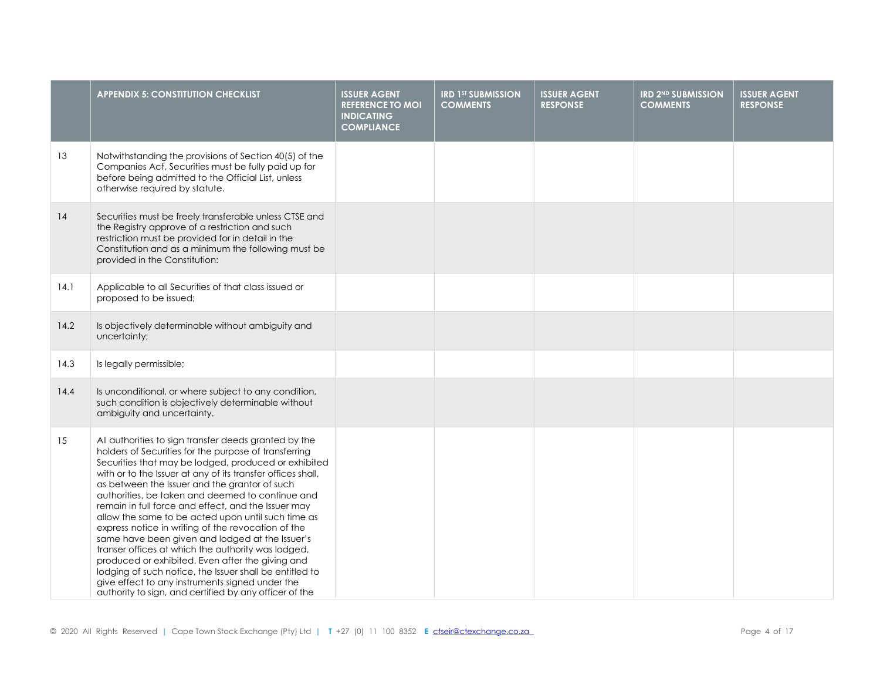|      | <b>APPENDIX 5: CONSTITUTION CHECKLIST</b>                                                                                                                                                                                                                                                                                                                                                                                                                                                                                                                                                                                                                                                                                                                                                                                                          | <b>ISSUER AGENT</b><br><b>REFERENCE TO MOI</b><br><b>INDICATING</b><br><b>COMPLIANCE</b> | <b>IRD 1ST SUBMISSION</b><br><b>COMMENTS</b> | <b>ISSUER AGENT</b><br><b>RESPONSE</b> | <b>IRD 2ND SUBMISSION</b><br><b>COMMENTS</b> | <b>ISSUER AGENT</b><br><b>RESPONSE</b> |
|------|----------------------------------------------------------------------------------------------------------------------------------------------------------------------------------------------------------------------------------------------------------------------------------------------------------------------------------------------------------------------------------------------------------------------------------------------------------------------------------------------------------------------------------------------------------------------------------------------------------------------------------------------------------------------------------------------------------------------------------------------------------------------------------------------------------------------------------------------------|------------------------------------------------------------------------------------------|----------------------------------------------|----------------------------------------|----------------------------------------------|----------------------------------------|
| 13   | Notwithstanding the provisions of Section 40(5) of the<br>Companies Act, Securities must be fully paid up for<br>before being admitted to the Official List, unless<br>otherwise required by statute.                                                                                                                                                                                                                                                                                                                                                                                                                                                                                                                                                                                                                                              |                                                                                          |                                              |                                        |                                              |                                        |
| 14   | Securities must be freely transferable unless CTSE and<br>the Registry approve of a restriction and such<br>restriction must be provided for in detail in the<br>Constitution and as a minimum the following must be<br>provided in the Constitution:                                                                                                                                                                                                                                                                                                                                                                                                                                                                                                                                                                                              |                                                                                          |                                              |                                        |                                              |                                        |
| 14.1 | Applicable to all Securities of that class issued or<br>proposed to be issued;                                                                                                                                                                                                                                                                                                                                                                                                                                                                                                                                                                                                                                                                                                                                                                     |                                                                                          |                                              |                                        |                                              |                                        |
| 14.2 | Is objectively determinable without ambiguity and<br>uncertainty;                                                                                                                                                                                                                                                                                                                                                                                                                                                                                                                                                                                                                                                                                                                                                                                  |                                                                                          |                                              |                                        |                                              |                                        |
| 14.3 | Is legally permissible;                                                                                                                                                                                                                                                                                                                                                                                                                                                                                                                                                                                                                                                                                                                                                                                                                            |                                                                                          |                                              |                                        |                                              |                                        |
| 14.4 | Is unconditional, or where subject to any condition,<br>such condition is objectively determinable without<br>ambiguity and uncertainty.                                                                                                                                                                                                                                                                                                                                                                                                                                                                                                                                                                                                                                                                                                           |                                                                                          |                                              |                                        |                                              |                                        |
| 15   | All authorities to sign transfer deeds granted by the<br>holders of Securities for the purpose of transferring<br>Securities that may be lodged, produced or exhibited<br>with or to the Issuer at any of its transfer offices shall,<br>as between the Issuer and the grantor of such<br>authorities, be taken and deemed to continue and<br>remain in full force and effect, and the Issuer may<br>allow the same to be acted upon until such time as<br>express notice in writing of the revocation of the<br>same have been given and lodged at the Issuer's<br>transer offices at which the authority was lodged,<br>produced or exhibited. Even after the giving and<br>lodging of such notice, the Issuer shall be entitled to<br>give effect to any instruments signed under the<br>authority to sign, and certified by any officer of the |                                                                                          |                                              |                                        |                                              |                                        |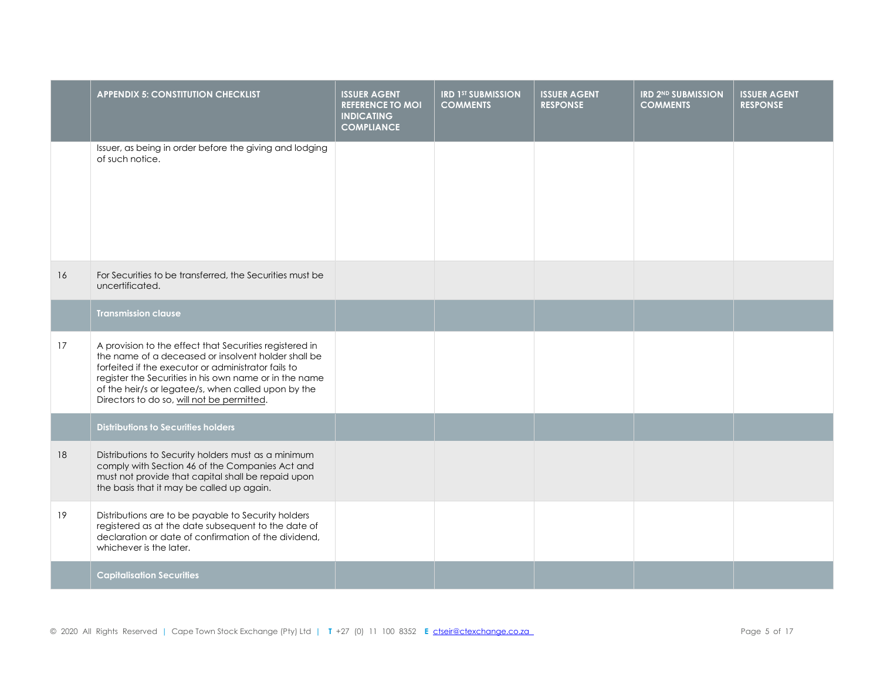|    | <b>APPENDIX 5: CONSTITUTION CHECKLIST</b>                                                                                                                                                                                                                                                                                            | <b>ISSUER AGENT</b><br><b>REFERENCE TO MOI</b><br><b>INDICATING</b><br><b>COMPLIANCE</b> | <b>IRD 1ST SUBMISSION</b><br><b>COMMENTS</b> | <b>ISSUER AGENT</b><br><b>RESPONSE</b> | <b>IRD 2ND SUBMISSION</b><br><b>COMMENTS</b> | <b>ISSUER AGENT</b><br><b>RESPONSE</b> |
|----|--------------------------------------------------------------------------------------------------------------------------------------------------------------------------------------------------------------------------------------------------------------------------------------------------------------------------------------|------------------------------------------------------------------------------------------|----------------------------------------------|----------------------------------------|----------------------------------------------|----------------------------------------|
|    | Issuer, as being in order before the giving and lodging<br>of such notice.                                                                                                                                                                                                                                                           |                                                                                          |                                              |                                        |                                              |                                        |
| 16 | For Securities to be transferred, the Securities must be<br>uncertificated.                                                                                                                                                                                                                                                          |                                                                                          |                                              |                                        |                                              |                                        |
|    | <b>Transmission clause</b>                                                                                                                                                                                                                                                                                                           |                                                                                          |                                              |                                        |                                              |                                        |
| 17 | A provision to the effect that Securities registered in<br>the name of a deceased or insolvent holder shall be<br>forfeited if the executor or administrator fails to<br>register the Securities in his own name or in the name<br>of the heir/s or legatee/s, when called upon by the<br>Directors to do so, will not be permitted. |                                                                                          |                                              |                                        |                                              |                                        |
|    | <b>Distributions to Securities holders</b>                                                                                                                                                                                                                                                                                           |                                                                                          |                                              |                                        |                                              |                                        |
| 18 | Distributions to Security holders must as a minimum<br>comply with Section 46 of the Companies Act and<br>must not provide that capital shall be repaid upon<br>the basis that it may be called up again.                                                                                                                            |                                                                                          |                                              |                                        |                                              |                                        |
| 19 | Distributions are to be payable to Security holders<br>registered as at the date subsequent to the date of<br>declaration or date of confirmation of the dividend,<br>whichever is the later.                                                                                                                                        |                                                                                          |                                              |                                        |                                              |                                        |
|    | <b>Capitalisation Securities</b>                                                                                                                                                                                                                                                                                                     |                                                                                          |                                              |                                        |                                              |                                        |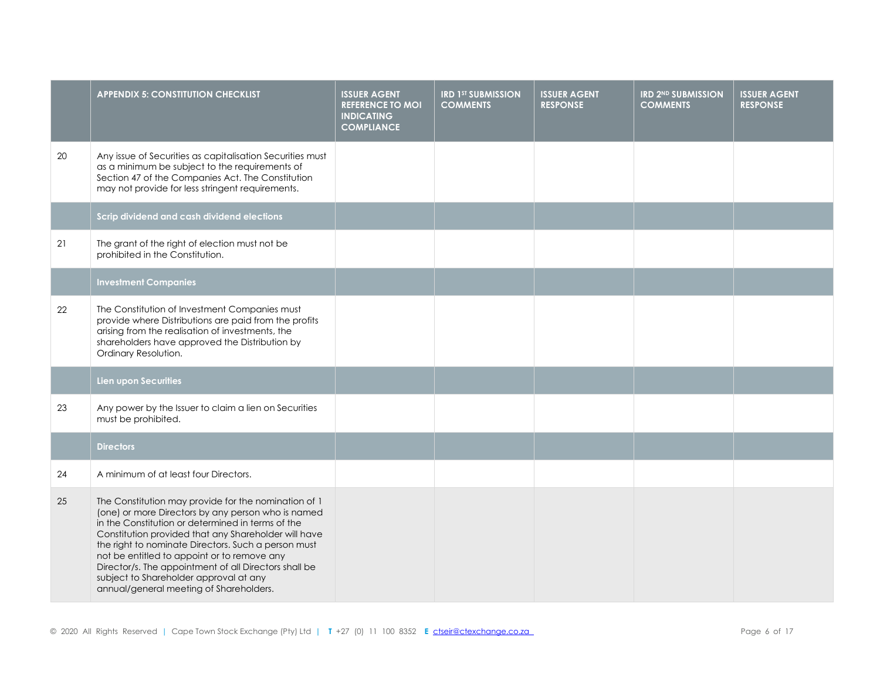|    | <b>APPENDIX 5: CONSTITUTION CHECKLIST</b>                                                                                                                                                                                                                                                                                                                                                                                                                                   | <b>ISSUER AGENT</b><br><b>REFERENCE TO MOI</b><br><b>INDICATING</b><br><b>COMPLIANCE</b> | <b>IRD 1st SUBMISSION</b><br><b>COMMENTS</b> | <b>ISSUER AGENT</b><br><b>RESPONSE</b> | <b>IRD 2ND SUBMISSION</b><br><b>COMMENTS</b> | <b>ISSUER AGENT</b><br><b>RESPONSE</b> |
|----|-----------------------------------------------------------------------------------------------------------------------------------------------------------------------------------------------------------------------------------------------------------------------------------------------------------------------------------------------------------------------------------------------------------------------------------------------------------------------------|------------------------------------------------------------------------------------------|----------------------------------------------|----------------------------------------|----------------------------------------------|----------------------------------------|
| 20 | Any issue of Securities as capitalisation Securities must<br>as a minimum be subject to the requirements of<br>Section 47 of the Companies Act. The Constitution<br>may not provide for less stringent requirements.                                                                                                                                                                                                                                                        |                                                                                          |                                              |                                        |                                              |                                        |
|    | Scrip dividend and cash dividend elections                                                                                                                                                                                                                                                                                                                                                                                                                                  |                                                                                          |                                              |                                        |                                              |                                        |
| 21 | The grant of the right of election must not be<br>prohibited in the Constitution.                                                                                                                                                                                                                                                                                                                                                                                           |                                                                                          |                                              |                                        |                                              |                                        |
|    | <b>Investment Companies</b>                                                                                                                                                                                                                                                                                                                                                                                                                                                 |                                                                                          |                                              |                                        |                                              |                                        |
| 22 | The Constitution of Investment Companies must<br>provide where Distributions are paid from the profits<br>arising from the realisation of investments, the<br>shareholders have approved the Distribution by<br>Ordinary Resolution.                                                                                                                                                                                                                                        |                                                                                          |                                              |                                        |                                              |                                        |
|    | Lien upon Securities                                                                                                                                                                                                                                                                                                                                                                                                                                                        |                                                                                          |                                              |                                        |                                              |                                        |
| 23 | Any power by the Issuer to claim a lien on Securities<br>must be prohibited.                                                                                                                                                                                                                                                                                                                                                                                                |                                                                                          |                                              |                                        |                                              |                                        |
|    | <b>Directors</b>                                                                                                                                                                                                                                                                                                                                                                                                                                                            |                                                                                          |                                              |                                        |                                              |                                        |
| 24 | A minimum of at least four Directors.                                                                                                                                                                                                                                                                                                                                                                                                                                       |                                                                                          |                                              |                                        |                                              |                                        |
| 25 | The Constitution may provide for the nomination of 1<br>(one) or more Directors by any person who is named<br>in the Constitution or determined in terms of the<br>Constitution provided that any Shareholder will have<br>the right to nominate Directors. Such a person must<br>not be entitled to appoint or to remove any<br>Director/s. The appointment of all Directors shall be<br>subject to Shareholder approval at any<br>annual/general meeting of Shareholders. |                                                                                          |                                              |                                        |                                              |                                        |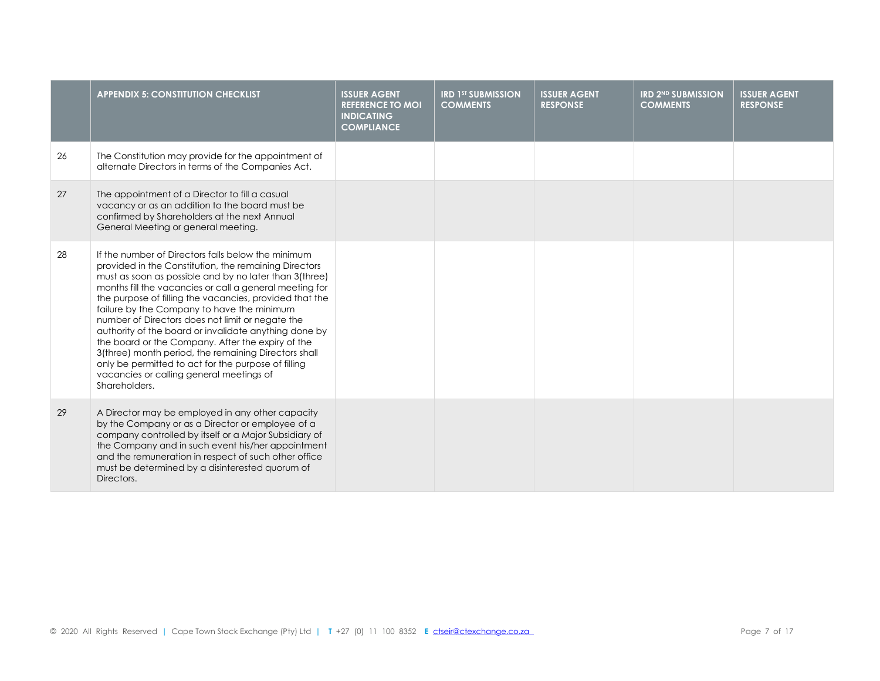|    | <b>APPENDIX 5: CONSTITUTION CHECKLIST</b>                                                                                                                                                                                                                                                                                                                                                                                                                                                                                                                                                                                                                                               | <b>ISSUER AGENT</b><br><b>REFERENCE TO MOI</b><br><b>INDICATING</b><br><b>COMPLIANCE</b> | <b>IRD 1ST SUBMISSION</b><br><b>COMMENTS</b> | <b>ISSUER AGENT</b><br><b>RESPONSE</b> | <b>IRD 2ND SUBMISSION</b><br><b>COMMENTS</b> | <b>ISSUER AGENT</b><br><b>RESPONSE</b> |
|----|-----------------------------------------------------------------------------------------------------------------------------------------------------------------------------------------------------------------------------------------------------------------------------------------------------------------------------------------------------------------------------------------------------------------------------------------------------------------------------------------------------------------------------------------------------------------------------------------------------------------------------------------------------------------------------------------|------------------------------------------------------------------------------------------|----------------------------------------------|----------------------------------------|----------------------------------------------|----------------------------------------|
| 26 | The Constitution may provide for the appointment of<br>alternate Directors in terms of the Companies Act.                                                                                                                                                                                                                                                                                                                                                                                                                                                                                                                                                                               |                                                                                          |                                              |                                        |                                              |                                        |
| 27 | The appointment of a Director to fill a casual<br>vacancy or as an addition to the board must be<br>confirmed by Shareholders at the next Annual<br>General Meeting or general meeting.                                                                                                                                                                                                                                                                                                                                                                                                                                                                                                 |                                                                                          |                                              |                                        |                                              |                                        |
| 28 | If the number of Directors falls below the minimum<br>provided in the Constitution, the remaining Directors<br>must as soon as possible and by no later than 3(three)<br>months fill the vacancies or call a general meeting for<br>the purpose of filling the vacancies, provided that the<br>failure by the Company to have the minimum<br>number of Directors does not limit or negate the<br>authority of the board or invalidate anything done by<br>the board or the Company. After the expiry of the<br>3(three) month period, the remaining Directors shall<br>only be permitted to act for the purpose of filling<br>vacancies or calling general meetings of<br>Shareholders. |                                                                                          |                                              |                                        |                                              |                                        |
| 29 | A Director may be employed in any other capacity<br>by the Company or as a Director or employee of a<br>company controlled by itself or a Major Subsidiary of<br>the Company and in such event his/her appointment<br>and the remuneration in respect of such other office<br>must be determined by a disinterested quorum of<br>Directors.                                                                                                                                                                                                                                                                                                                                             |                                                                                          |                                              |                                        |                                              |                                        |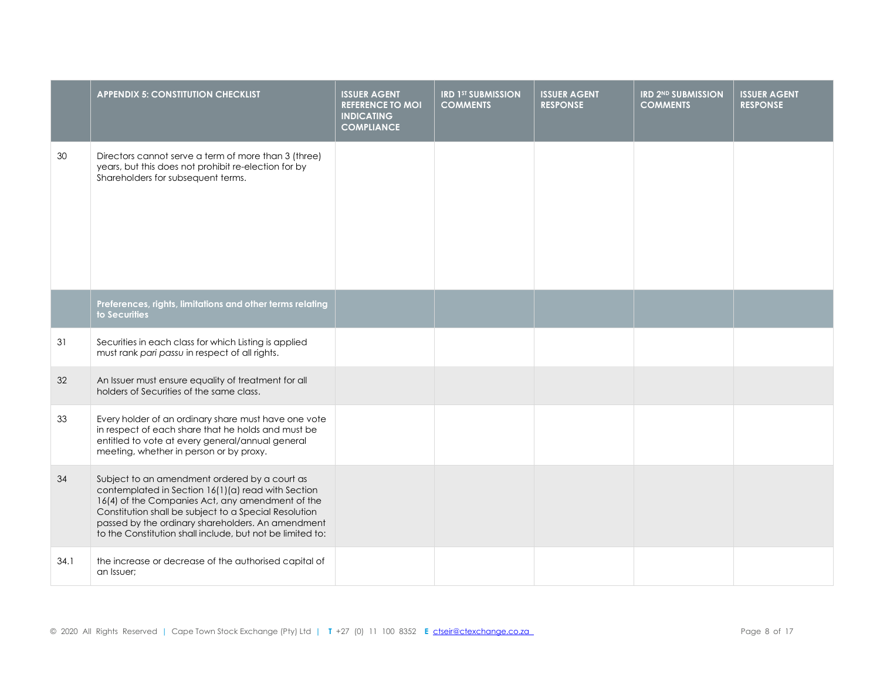|      | <b>APPENDIX 5: CONSTITUTION CHECKLIST</b>                                                                                                                                                                                                                                                                                          | <b>ISSUER AGENT</b><br><b>REFERENCE TO MOI</b><br><b>INDICATING</b><br><b>COMPLIANCE</b> | <b>IRD 1ST SUBMISSION</b><br><b>COMMENTS</b> | <b>ISSUER AGENT</b><br><b>RESPONSE</b> | <b>IRD 2ND SUBMISSION</b><br><b>COMMENTS</b> | <b>ISSUER AGENT</b><br><b>RESPONSE</b> |
|------|------------------------------------------------------------------------------------------------------------------------------------------------------------------------------------------------------------------------------------------------------------------------------------------------------------------------------------|------------------------------------------------------------------------------------------|----------------------------------------------|----------------------------------------|----------------------------------------------|----------------------------------------|
| 30   | Directors cannot serve a term of more than 3 (three)<br>years, but this does not prohibit re-election for by<br>Shareholders for subsequent terms.                                                                                                                                                                                 |                                                                                          |                                              |                                        |                                              |                                        |
|      | Preferences, rights, limitations and other terms relating<br>to Securities                                                                                                                                                                                                                                                         |                                                                                          |                                              |                                        |                                              |                                        |
| 31   | Securities in each class for which Listing is applied<br>must rank pari passu in respect of all rights.                                                                                                                                                                                                                            |                                                                                          |                                              |                                        |                                              |                                        |
| 32   | An Issuer must ensure equality of treatment for all<br>holders of Securities of the same class.                                                                                                                                                                                                                                    |                                                                                          |                                              |                                        |                                              |                                        |
| 33   | Every holder of an ordinary share must have one vote<br>in respect of each share that he holds and must be<br>entitled to vote at every general/annual general<br>meeting, whether in person or by proxy.                                                                                                                          |                                                                                          |                                              |                                        |                                              |                                        |
| 34   | Subject to an amendment ordered by a court as<br>contemplated in Section 16(1)(a) read with Section<br>16(4) of the Companies Act, any amendment of the<br>Constitution shall be subject to a Special Resolution<br>passed by the ordinary shareholders. An amendment<br>to the Constitution shall include, but not be limited to: |                                                                                          |                                              |                                        |                                              |                                        |
| 34.1 | the increase or decrease of the authorised capital of<br>an Issuer:                                                                                                                                                                                                                                                                |                                                                                          |                                              |                                        |                                              |                                        |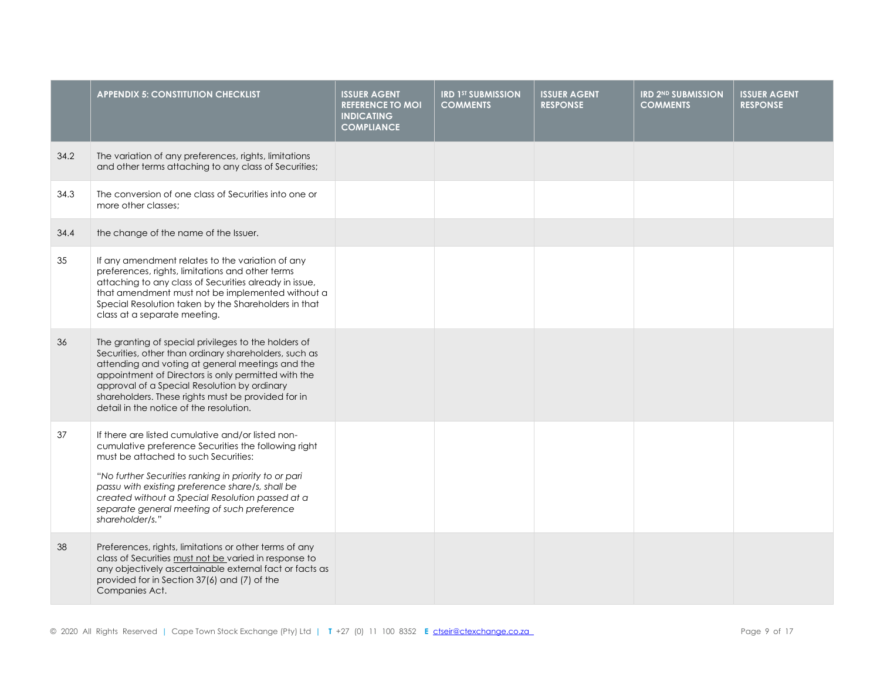|      | <b>APPENDIX 5: CONSTITUTION CHECKLIST</b>                                                                                                                                                                                                                                                                                                                                            | <b>ISSUER AGENT</b><br><b>REFERENCE TO MOI</b><br><b>INDICATING</b><br><b>COMPLIANCE</b> | <b>IRD 1ST SUBMISSION</b><br><b>COMMENTS</b> | <b>ISSUER AGENT</b><br><b>RESPONSE</b> | <b>IRD 2ND SUBMISSION</b><br><b>COMMENTS</b> | <b>ISSUER AGENT</b><br><b>RESPONSE</b> |
|------|--------------------------------------------------------------------------------------------------------------------------------------------------------------------------------------------------------------------------------------------------------------------------------------------------------------------------------------------------------------------------------------|------------------------------------------------------------------------------------------|----------------------------------------------|----------------------------------------|----------------------------------------------|----------------------------------------|
| 34.2 | The variation of any preferences, rights, limitations<br>and other terms attaching to any class of Securities;                                                                                                                                                                                                                                                                       |                                                                                          |                                              |                                        |                                              |                                        |
| 34.3 | The conversion of one class of Securities into one or<br>more other classes:                                                                                                                                                                                                                                                                                                         |                                                                                          |                                              |                                        |                                              |                                        |
| 34.4 | the change of the name of the Issuer.                                                                                                                                                                                                                                                                                                                                                |                                                                                          |                                              |                                        |                                              |                                        |
| 35   | If any amendment relates to the variation of any<br>preferences, rights, limitations and other terms<br>attaching to any class of Securities already in issue,<br>that amendment must not be implemented without a<br>Special Resolution taken by the Shareholders in that<br>class at a separate meeting.                                                                           |                                                                                          |                                              |                                        |                                              |                                        |
| 36   | The granting of special privileges to the holders of<br>Securities, other than ordinary shareholders, such as<br>attending and voting at general meetings and the<br>appointment of Directors is only permitted with the<br>approval of a Special Resolution by ordinary<br>shareholders. These rights must be provided for in<br>detail in the notice of the resolution.            |                                                                                          |                                              |                                        |                                              |                                        |
| 37   | If there are listed cumulative and/or listed non-<br>cumulative preference Securities the following right<br>must be attached to such Securities:<br>"No further Securities ranking in priority to or pari<br>passu with existing preference share/s, shall be<br>created without a Special Resolution passed at a<br>separate general meeting of such preference<br>shareholder/s." |                                                                                          |                                              |                                        |                                              |                                        |
| 38   | Preferences, rights, limitations or other terms of any<br>class of Securities must not be varied in response to<br>any objectively ascertainable external fact or facts as<br>provided for in Section 37(6) and (7) of the<br>Companies Act.                                                                                                                                         |                                                                                          |                                              |                                        |                                              |                                        |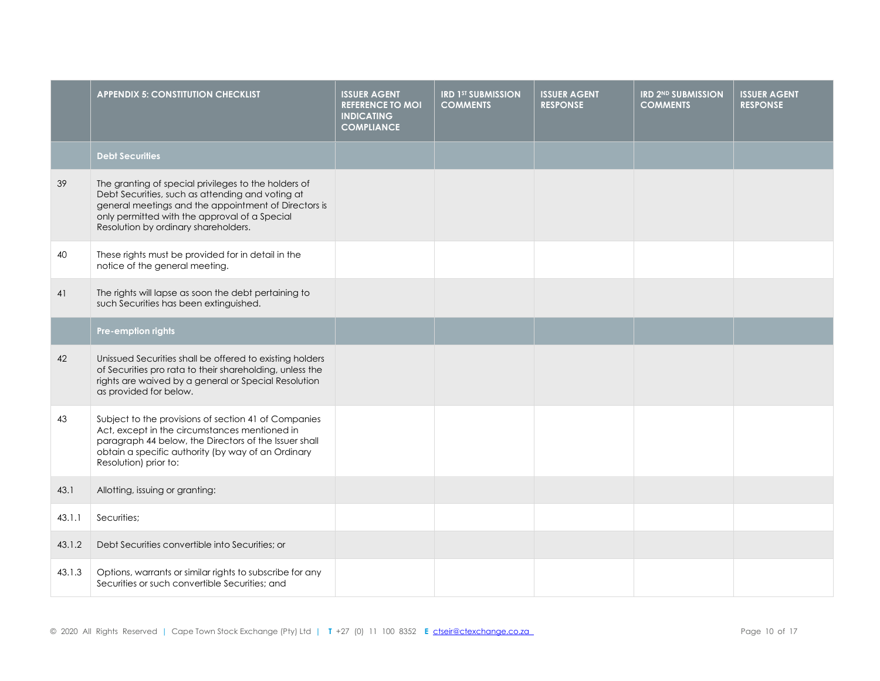|        | <b>APPENDIX 5: CONSTITUTION CHECKLIST</b>                                                                                                                                                                                                                 | <b>ISSUER AGENT</b><br><b>REFERENCE TO MOI</b><br><b>INDICATING</b><br><b>COMPLIANCE</b> | <b>IRD 1ST SUBMISSION</b><br><b>COMMENTS</b> | <b>ISSUER AGENT</b><br><b>RESPONSE</b> | <b>IRD 2ND SUBMISSION</b><br><b>COMMENTS</b> | <b>ISSUER AGENT</b><br><b>RESPONSE</b> |
|--------|-----------------------------------------------------------------------------------------------------------------------------------------------------------------------------------------------------------------------------------------------------------|------------------------------------------------------------------------------------------|----------------------------------------------|----------------------------------------|----------------------------------------------|----------------------------------------|
|        | <b>Debt Securities</b>                                                                                                                                                                                                                                    |                                                                                          |                                              |                                        |                                              |                                        |
| 39     | The granting of special privileges to the holders of<br>Debt Securities, such as attending and voting at<br>general meetings and the appointment of Directors is<br>only permitted with the approval of a Special<br>Resolution by ordinary shareholders. |                                                                                          |                                              |                                        |                                              |                                        |
| 40     | These rights must be provided for in detail in the<br>notice of the general meeting.                                                                                                                                                                      |                                                                                          |                                              |                                        |                                              |                                        |
| 41     | The rights will lapse as soon the debt pertaining to<br>such Securities has been extinguished.                                                                                                                                                            |                                                                                          |                                              |                                        |                                              |                                        |
|        | Pre-emption rights                                                                                                                                                                                                                                        |                                                                                          |                                              |                                        |                                              |                                        |
| 42     | Unissued Securities shall be offered to existing holders<br>of Securities pro rata to their shareholding, unless the<br>rights are waived by a general or Special Resolution<br>as provided for below.                                                    |                                                                                          |                                              |                                        |                                              |                                        |
| 43     | Subject to the provisions of section 41 of Companies<br>Act, except in the circumstances mentioned in<br>paragraph 44 below, the Directors of the Issuer shall<br>obtain a specific authority (by way of an Ordinary<br>Resolution) prior to:             |                                                                                          |                                              |                                        |                                              |                                        |
| 43.1   | Allotting, issuing or granting:                                                                                                                                                                                                                           |                                                                                          |                                              |                                        |                                              |                                        |
| 43.1.1 | Securities;                                                                                                                                                                                                                                               |                                                                                          |                                              |                                        |                                              |                                        |
| 43.1.2 | Debt Securities convertible into Securities; or                                                                                                                                                                                                           |                                                                                          |                                              |                                        |                                              |                                        |
| 43.1.3 | Options, warrants or similar rights to subscribe for any<br>Securities or such convertible Securities; and                                                                                                                                                |                                                                                          |                                              |                                        |                                              |                                        |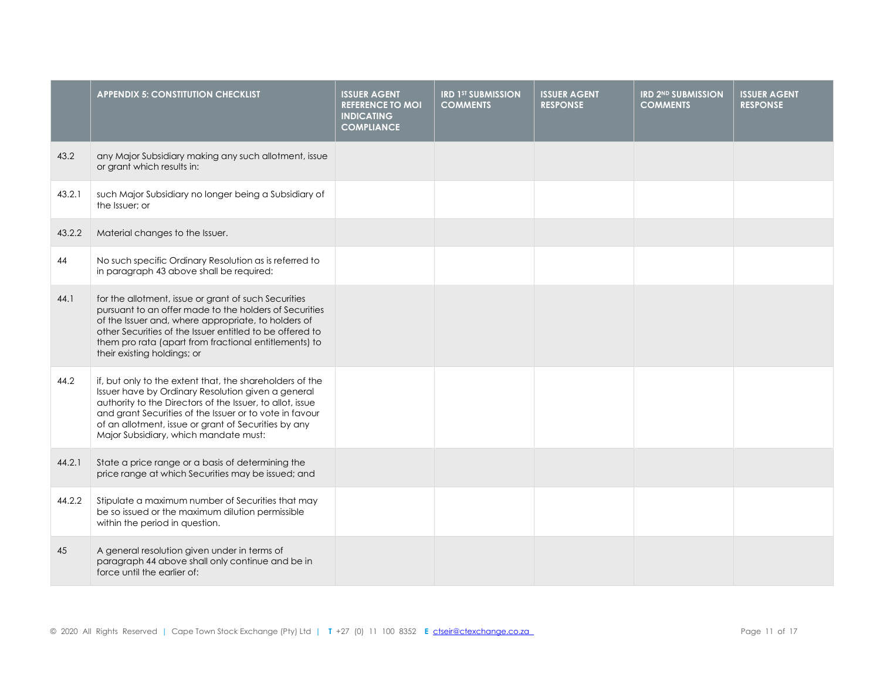|        | <b>APPENDIX 5: CONSTITUTION CHECKLIST</b>                                                                                                                                                                                                                                                                                               | <b>ISSUER AGENT</b><br><b>REFERENCE TO MOI</b><br><b>INDICATING</b><br><b>COMPLIANCE</b> | <b>IRD 1ST SUBMISSION</b><br><b>COMMENTS</b> | <b>ISSUER AGENT</b><br><b>RESPONSE</b> | <b>IRD 2ND SUBMISSION</b><br><b>COMMENTS</b> | <b>ISSUER AGENT</b><br><b>RESPONSE</b> |
|--------|-----------------------------------------------------------------------------------------------------------------------------------------------------------------------------------------------------------------------------------------------------------------------------------------------------------------------------------------|------------------------------------------------------------------------------------------|----------------------------------------------|----------------------------------------|----------------------------------------------|----------------------------------------|
| 43.2   | any Major Subsidiary making any such allotment, issue<br>or grant which results in:                                                                                                                                                                                                                                                     |                                                                                          |                                              |                                        |                                              |                                        |
| 43.2.1 | such Major Subsidiary no longer being a Subsidiary of<br>the Issuer: or                                                                                                                                                                                                                                                                 |                                                                                          |                                              |                                        |                                              |                                        |
| 43.2.2 | Material changes to the Issuer.                                                                                                                                                                                                                                                                                                         |                                                                                          |                                              |                                        |                                              |                                        |
| 44     | No such specific Ordinary Resolution as is referred to<br>in paragraph 43 above shall be required:                                                                                                                                                                                                                                      |                                                                                          |                                              |                                        |                                              |                                        |
| 44.1   | for the allotment, issue or grant of such Securities<br>pursuant to an offer made to the holders of Securities<br>of the Issuer and, where appropriate, to holders of<br>other Securities of the Issuer entitled to be offered to<br>them pro rata (apart from fractional entitlements) to<br>their existing holdings; or               |                                                                                          |                                              |                                        |                                              |                                        |
| 44.2   | if, but only to the extent that, the shareholders of the<br>Issuer have by Ordinary Resolution given a general<br>authority to the Directors of the Issuer, to allot, issue<br>and grant Securities of the Issuer or to vote in favour<br>of an allotment, issue or grant of Securities by any<br>Major Subsidiary, which mandate must: |                                                                                          |                                              |                                        |                                              |                                        |
| 44.2.1 | State a price range or a basis of determining the<br>price range at which Securities may be issued; and                                                                                                                                                                                                                                 |                                                                                          |                                              |                                        |                                              |                                        |
| 44.2.2 | Stipulate a maximum number of Securities that may<br>be so issued or the maximum dilution permissible<br>within the period in question.                                                                                                                                                                                                 |                                                                                          |                                              |                                        |                                              |                                        |
| 45     | A general resolution given under in terms of<br>paragraph 44 above shall only continue and be in<br>force until the earlier of:                                                                                                                                                                                                         |                                                                                          |                                              |                                        |                                              |                                        |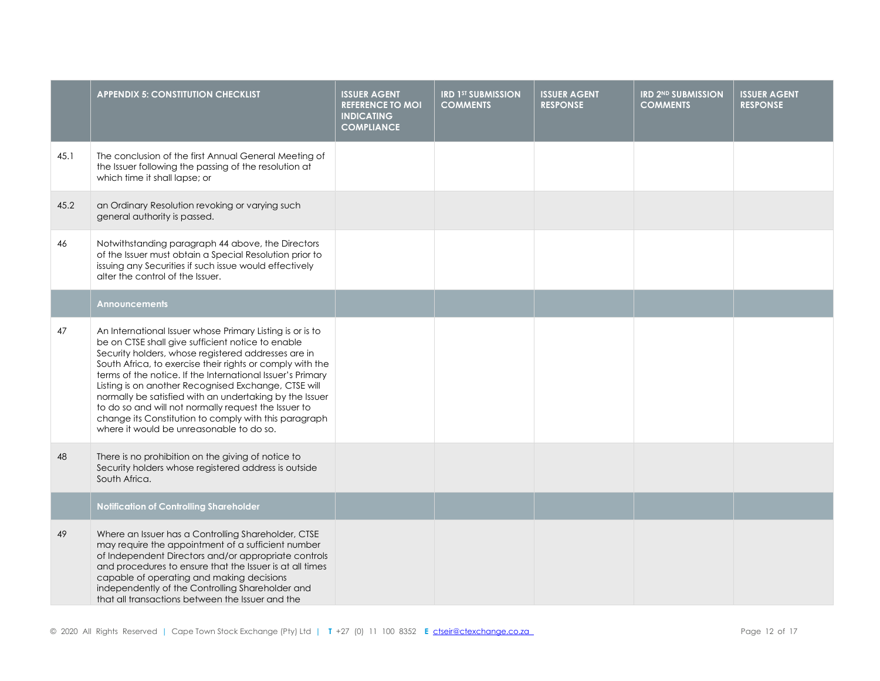|      | <b>APPENDIX 5: CONSTITUTION CHECKLIST</b>                                                                                                                                                                                                                                                                                                                                                                                                                                                                                                                                        | <b>ISSUER AGENT</b><br><b>REFERENCE TO MOI</b><br><b>INDICATING</b><br><b>COMPLIANCE</b> | <b>IRD 1ST SUBMISSION</b><br><b>COMMENTS</b> | <b>ISSUER AGENT</b><br><b>RESPONSE</b> | <b>IRD 2ND SUBMISSION</b><br><b>COMMENTS</b> | <b>ISSUER AGENT</b><br><b>RESPONSE</b> |
|------|----------------------------------------------------------------------------------------------------------------------------------------------------------------------------------------------------------------------------------------------------------------------------------------------------------------------------------------------------------------------------------------------------------------------------------------------------------------------------------------------------------------------------------------------------------------------------------|------------------------------------------------------------------------------------------|----------------------------------------------|----------------------------------------|----------------------------------------------|----------------------------------------|
| 45.1 | The conclusion of the first Annual General Meeting of<br>the Issuer following the passing of the resolution at<br>which time it shall lapse; or                                                                                                                                                                                                                                                                                                                                                                                                                                  |                                                                                          |                                              |                                        |                                              |                                        |
| 45.2 | an Ordinary Resolution revoking or varying such<br>general authority is passed.                                                                                                                                                                                                                                                                                                                                                                                                                                                                                                  |                                                                                          |                                              |                                        |                                              |                                        |
| 46   | Notwithstanding paragraph 44 above, the Directors<br>of the Issuer must obtain a Special Resolution prior to<br>issuing any Securities if such issue would effectively<br>alter the control of the Issuer.                                                                                                                                                                                                                                                                                                                                                                       |                                                                                          |                                              |                                        |                                              |                                        |
|      | Announcements                                                                                                                                                                                                                                                                                                                                                                                                                                                                                                                                                                    |                                                                                          |                                              |                                        |                                              |                                        |
| 47   | An International Issuer whose Primary Listing is or is to<br>be on CTSE shall give sufficient notice to enable<br>Security holders, whose registered addresses are in<br>South Africa, to exercise their rights or comply with the<br>terms of the notice. If the International Issuer's Primary<br>Listing is on another Recognised Exchange, CTSE will<br>normally be satisfied with an undertaking by the Issuer<br>to do so and will not normally request the Issuer to<br>change its Constitution to comply with this paragraph<br>where it would be unreasonable to do so. |                                                                                          |                                              |                                        |                                              |                                        |
| 48   | There is no prohibition on the giving of notice to<br>Security holders whose registered address is outside<br>South Africa.                                                                                                                                                                                                                                                                                                                                                                                                                                                      |                                                                                          |                                              |                                        |                                              |                                        |
|      | <b>Notification of Controlling Shareholder</b>                                                                                                                                                                                                                                                                                                                                                                                                                                                                                                                                   |                                                                                          |                                              |                                        |                                              |                                        |
| 49   | Where an Issuer has a Controlling Shareholder, CTSE<br>may require the appointment of a sufficient number<br>of Independent Directors and/or appropriate controls<br>and procedures to ensure that the Issuer is at all times<br>capable of operating and making decisions<br>independently of the Controlling Shareholder and<br>that all transactions between the Issuer and the                                                                                                                                                                                               |                                                                                          |                                              |                                        |                                              |                                        |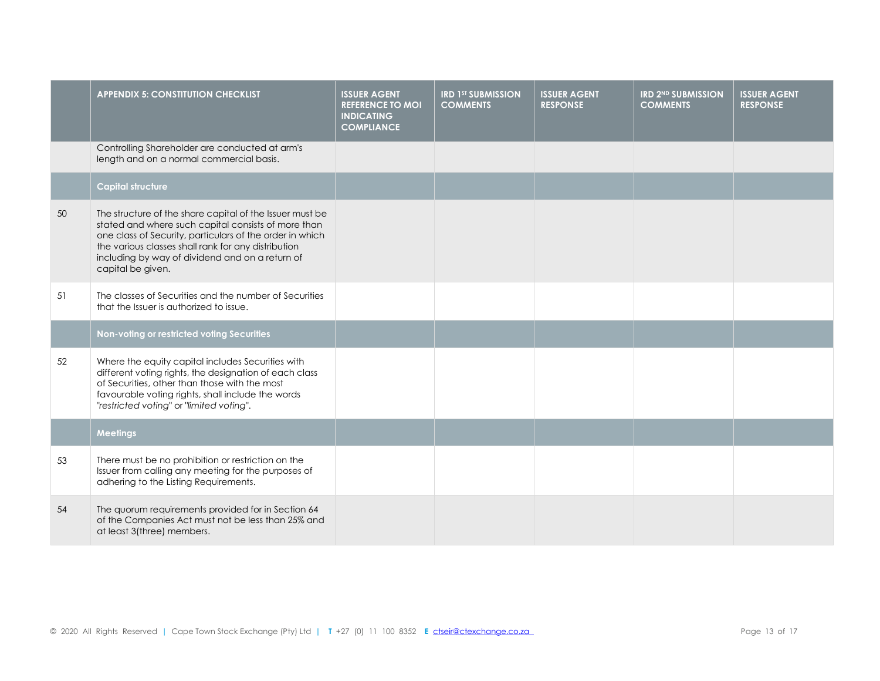|    | <b>APPENDIX 5: CONSTITUTION CHECKLIST</b>                                                                                                                                                                                                                                                                  | <b>ISSUER AGENT</b><br><b>REFERENCE TO MOI</b><br><b>INDICATING</b><br><b>COMPLIANCE</b> | <b>IRD 1ST SUBMISSION</b><br><b>COMMENTS</b> | <b>ISSUER AGENT</b><br><b>RESPONSE</b> | <b>IRD 2ND SUBMISSION</b><br><b>COMMENTS</b> | <b>ISSUER AGENT</b><br><b>RESPONSE</b> |
|----|------------------------------------------------------------------------------------------------------------------------------------------------------------------------------------------------------------------------------------------------------------------------------------------------------------|------------------------------------------------------------------------------------------|----------------------------------------------|----------------------------------------|----------------------------------------------|----------------------------------------|
|    | Controlling Shareholder are conducted at arm's<br>length and on a normal commercial basis.                                                                                                                                                                                                                 |                                                                                          |                                              |                                        |                                              |                                        |
|    | <b>Capital structure</b>                                                                                                                                                                                                                                                                                   |                                                                                          |                                              |                                        |                                              |                                        |
| 50 | The structure of the share capital of the Issuer must be<br>stated and where such capital consists of more than<br>one class of Security, particulars of the order in which<br>the various classes shall rank for any distribution<br>including by way of dividend and on a return of<br>capital be given. |                                                                                          |                                              |                                        |                                              |                                        |
| 51 | The classes of Securities and the number of Securities<br>that the Issuer is authorized to issue.                                                                                                                                                                                                          |                                                                                          |                                              |                                        |                                              |                                        |
|    | Non-voting or restricted voting Securities                                                                                                                                                                                                                                                                 |                                                                                          |                                              |                                        |                                              |                                        |
| 52 | Where the equity capital includes Securities with<br>different voting rights, the designation of each class<br>of Securities, other than those with the most<br>favourable voting rights, shall include the words<br>"restricted voting" or "limited voting".                                              |                                                                                          |                                              |                                        |                                              |                                        |
|    | <b>Meetings</b>                                                                                                                                                                                                                                                                                            |                                                                                          |                                              |                                        |                                              |                                        |
| 53 | There must be no prohibition or restriction on the<br>Issuer from calling any meeting for the purposes of<br>adhering to the Listing Requirements.                                                                                                                                                         |                                                                                          |                                              |                                        |                                              |                                        |
| 54 | The quorum requirements provided for in Section 64<br>of the Companies Act must not be less than 25% and<br>at least 3(three) members.                                                                                                                                                                     |                                                                                          |                                              |                                        |                                              |                                        |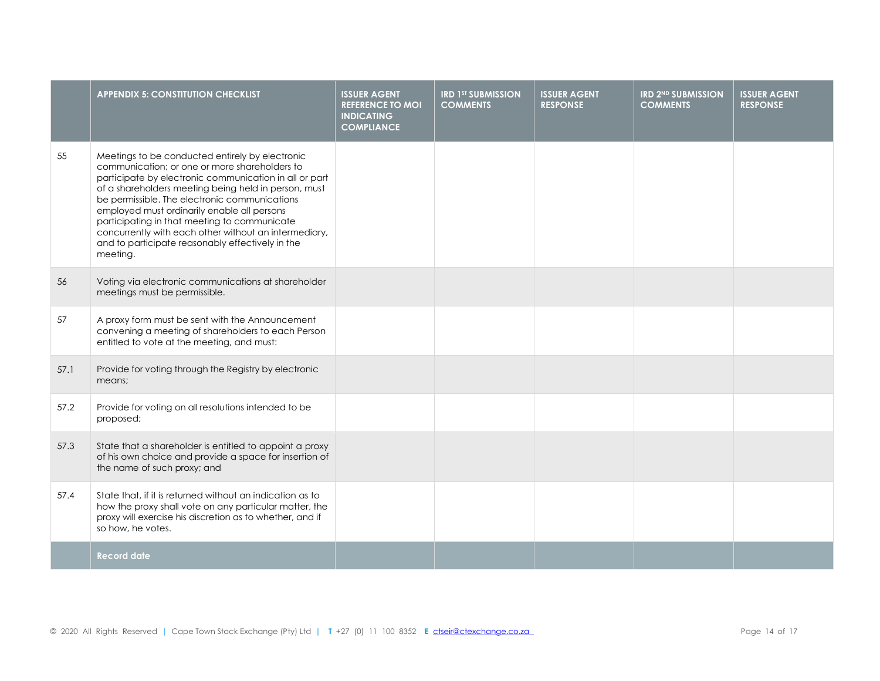|      | <b>APPENDIX 5: CONSTITUTION CHECKLIST</b>                                                                                                                                                                                                                                                                                                                                                                                                                                                   | <b>ISSUER AGENT</b><br><b>REFERENCE TO MOI</b><br><b>INDICATING</b><br><b>COMPLIANCE</b> | <b>IRD 1ST SUBMISSION</b><br><b>COMMENTS</b> | <b>ISSUER AGENT</b><br><b>RESPONSE</b> | <b>IRD 2ND SUBMISSION</b><br><b>COMMENTS</b> | <b>ISSUER AGENT</b><br><b>RESPONSE</b> |
|------|---------------------------------------------------------------------------------------------------------------------------------------------------------------------------------------------------------------------------------------------------------------------------------------------------------------------------------------------------------------------------------------------------------------------------------------------------------------------------------------------|------------------------------------------------------------------------------------------|----------------------------------------------|----------------------------------------|----------------------------------------------|----------------------------------------|
| 55   | Meetings to be conducted entirely by electronic<br>communication; or one or more shareholders to<br>participate by electronic communication in all or part<br>of a shareholders meeting being held in person, must<br>be permissible. The electronic communications<br>employed must ordinarily enable all persons<br>participating in that meeting to communicate<br>concurrently with each other without an intermediary,<br>and to participate reasonably effectively in the<br>meeting. |                                                                                          |                                              |                                        |                                              |                                        |
| 56   | Voting via electronic communications at shareholder<br>meetings must be permissible.                                                                                                                                                                                                                                                                                                                                                                                                        |                                                                                          |                                              |                                        |                                              |                                        |
| 57   | A proxy form must be sent with the Announcement<br>convening a meeting of shareholders to each Person<br>entitled to vote at the meeting, and must:                                                                                                                                                                                                                                                                                                                                         |                                                                                          |                                              |                                        |                                              |                                        |
| 57.1 | Provide for voting through the Registry by electronic<br>means;                                                                                                                                                                                                                                                                                                                                                                                                                             |                                                                                          |                                              |                                        |                                              |                                        |
| 57.2 | Provide for voting on all resolutions intended to be<br>proposed;                                                                                                                                                                                                                                                                                                                                                                                                                           |                                                                                          |                                              |                                        |                                              |                                        |
| 57.3 | State that a shareholder is entitled to appoint a proxy<br>of his own choice and provide a space for insertion of<br>the name of such proxy; and                                                                                                                                                                                                                                                                                                                                            |                                                                                          |                                              |                                        |                                              |                                        |
| 57.4 | State that, if it is returned without an indication as to<br>how the proxy shall vote on any particular matter, the<br>proxy will exercise his discretion as to whether, and if<br>so how, he votes.                                                                                                                                                                                                                                                                                        |                                                                                          |                                              |                                        |                                              |                                        |
|      | <b>Record date</b>                                                                                                                                                                                                                                                                                                                                                                                                                                                                          |                                                                                          |                                              |                                        |                                              |                                        |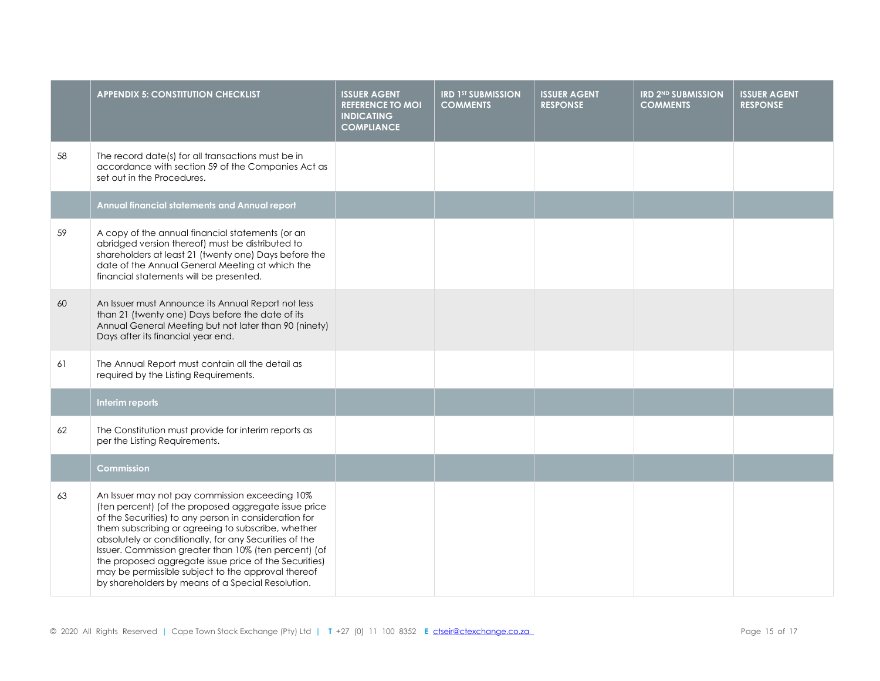|    | <b>APPENDIX 5: CONSTITUTION CHECKLIST</b>                                                                                                                                                                                                                                                                                                                                                                                                                                                                    | <b>ISSUER AGENT</b><br><b>REFERENCE TO MOI</b><br><b>INDICATING</b><br><b>COMPLIANCE</b> | <b>IRD 1ST SUBMISSION</b><br><b>COMMENTS</b> | <b>ISSUER AGENT</b><br><b>RESPONSE</b> | <b>IRD 2ND SUBMISSION</b><br><b>COMMENTS</b> | <b>ISSUER AGENT</b><br><b>RESPONSE</b> |
|----|--------------------------------------------------------------------------------------------------------------------------------------------------------------------------------------------------------------------------------------------------------------------------------------------------------------------------------------------------------------------------------------------------------------------------------------------------------------------------------------------------------------|------------------------------------------------------------------------------------------|----------------------------------------------|----------------------------------------|----------------------------------------------|----------------------------------------|
| 58 | The record date(s) for all transactions must be in<br>accordance with section 59 of the Companies Act as<br>set out in the Procedures.                                                                                                                                                                                                                                                                                                                                                                       |                                                                                          |                                              |                                        |                                              |                                        |
|    | Annual financial statements and Annual report                                                                                                                                                                                                                                                                                                                                                                                                                                                                |                                                                                          |                                              |                                        |                                              |                                        |
| 59 | A copy of the annual financial statements (or an<br>abridged version thereof) must be distributed to<br>shareholders at least 21 (twenty one) Days before the<br>date of the Annual General Meeting at which the<br>financial statements will be presented.                                                                                                                                                                                                                                                  |                                                                                          |                                              |                                        |                                              |                                        |
| 60 | An Issuer must Announce its Annual Report not less<br>than 21 (twenty one) Days before the date of its<br>Annual General Meeting but not later than 90 (ninety)<br>Days after its financial year end.                                                                                                                                                                                                                                                                                                        |                                                                                          |                                              |                                        |                                              |                                        |
| 61 | The Annual Report must contain all the detail as<br>required by the Listing Requirements.                                                                                                                                                                                                                                                                                                                                                                                                                    |                                                                                          |                                              |                                        |                                              |                                        |
|    | Interim reports                                                                                                                                                                                                                                                                                                                                                                                                                                                                                              |                                                                                          |                                              |                                        |                                              |                                        |
| 62 | The Constitution must provide for interim reports as<br>per the Listing Requirements.                                                                                                                                                                                                                                                                                                                                                                                                                        |                                                                                          |                                              |                                        |                                              |                                        |
|    | Commission                                                                                                                                                                                                                                                                                                                                                                                                                                                                                                   |                                                                                          |                                              |                                        |                                              |                                        |
| 63 | An Issuer may not pay commission exceeding 10%<br>(ten percent) (of the proposed aggregate issue price<br>of the Securities) to any person in consideration for<br>them subscribing or agreeing to subscribe, whether<br>absolutely or conditionally, for any Securities of the<br>Issuer. Commission greater than 10% (ten percent) (of<br>the proposed aggregate issue price of the Securities)<br>may be permissible subject to the approval thereof<br>by shareholders by means of a Special Resolution. |                                                                                          |                                              |                                        |                                              |                                        |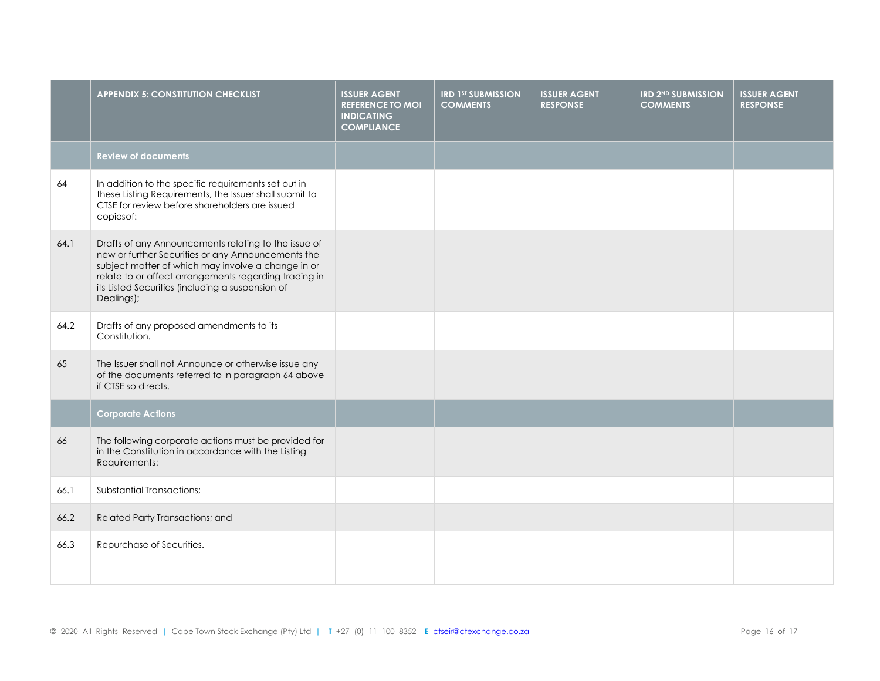|      | <b>APPENDIX 5: CONSTITUTION CHECKLIST</b>                                                                                                                                                                                                                                                   | <b>ISSUER AGENT</b><br><b>REFERENCE TO MOI</b><br><b>INDICATING</b><br><b>COMPLIANCE</b> | <b>IRD 1ST SUBMISSION</b><br><b>COMMENTS</b> | <b>ISSUER AGENT</b><br><b>RESPONSE</b> | <b>IRD 2ND SUBMISSION</b><br><b>COMMENTS</b> | <b>ISSUER AGENT</b><br><b>RESPONSE</b> |
|------|---------------------------------------------------------------------------------------------------------------------------------------------------------------------------------------------------------------------------------------------------------------------------------------------|------------------------------------------------------------------------------------------|----------------------------------------------|----------------------------------------|----------------------------------------------|----------------------------------------|
|      | <b>Review of documents</b>                                                                                                                                                                                                                                                                  |                                                                                          |                                              |                                        |                                              |                                        |
| 64   | In addition to the specific requirements set out in<br>these Listing Requirements, the Issuer shall submit to<br>CTSE for review before shareholders are issued<br>copiesof:                                                                                                                |                                                                                          |                                              |                                        |                                              |                                        |
| 64.1 | Drafts of any Announcements relating to the issue of<br>new or further Securities or any Announcements the<br>subject matter of which may involve a change in or<br>relate to or affect arrangements regarding trading in<br>its Listed Securities (including a suspension of<br>Dealings); |                                                                                          |                                              |                                        |                                              |                                        |
| 64.2 | Drafts of any proposed amendments to its<br>Constitution.                                                                                                                                                                                                                                   |                                                                                          |                                              |                                        |                                              |                                        |
| 65   | The Issuer shall not Announce or otherwise issue any<br>of the documents referred to in paragraph 64 above<br>if CTSE so directs.                                                                                                                                                           |                                                                                          |                                              |                                        |                                              |                                        |
|      | <b>Corporate Actions</b>                                                                                                                                                                                                                                                                    |                                                                                          |                                              |                                        |                                              |                                        |
| 66   | The following corporate actions must be provided for<br>in the Constitution in accordance with the Listing<br>Requirements:                                                                                                                                                                 |                                                                                          |                                              |                                        |                                              |                                        |
| 66.1 | <b>Substantial Transactions:</b>                                                                                                                                                                                                                                                            |                                                                                          |                                              |                                        |                                              |                                        |
| 66.2 | Related Party Transactions; and                                                                                                                                                                                                                                                             |                                                                                          |                                              |                                        |                                              |                                        |
| 66.3 | Repurchase of Securities.                                                                                                                                                                                                                                                                   |                                                                                          |                                              |                                        |                                              |                                        |